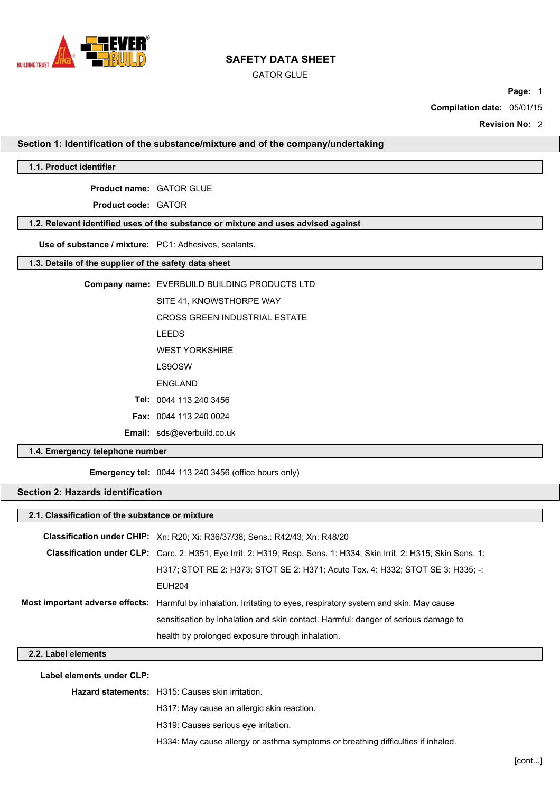

GATOR GLUE

**Page:** 1

**Compilation date:** 05/01/15

**Revision No:** 2

**Section 1: Identification of the substance/mixture and of the company/undertaking**

## **1.1. Product identifier**

**Product name:** GATOR GLUE

**Product code:** GATOR

## **1.2. Relevant identified uses of the substance or mixture and uses advised against**

**Use of substance / mixture:** PC1: Adhesives, sealants.

## **1.3. Details of the supplier of the safety data sheet**

| Company name: EVERBUILD BUILDING PRODUCTS LTD |
|-----------------------------------------------|
| SITE 41, KNOWSTHORPE WAY                      |
| CROSS GREEN INDUSTRIAL ESTATE                 |
| <b>LEEDS</b>                                  |
| <b>WEST YORKSHIRE</b>                         |
| LS9OSW                                        |
| <b>FNGI AND</b>                               |
| Tel: 0044 113 240 3456                        |
| <b>Fax: 0044 113 240 0024</b>                 |
| <b>Email:</b> sds@everbuild.co.uk             |
|                                               |

## **1.4. Emergency telephone number**

**Emergency tel:** 0044 113 240 3456 (office hours only)

# **Section 2: Hazards identification**

| 2.1. Classification of the substance or mixture |                                                                                                                      |  |
|-------------------------------------------------|----------------------------------------------------------------------------------------------------------------------|--|
|                                                 | <b>Classification under CHIP:</b> Xn: R20; Xi: R36/37/38; Sens.: R42/43; Xn: R48/20                                  |  |
|                                                 | Classification under CLP: Carc. 2: H351; Eye Irrit. 2: H319; Resp. Sens. 1: H334; Skin Irrit. 2: H315; Skin Sens. 1: |  |
|                                                 | H317: STOT RE 2: H373: STOT SE 2: H371: Acute Tox. 4: H332: STOT SE 3: H335: -:                                      |  |
|                                                 | <b>EUH204</b>                                                                                                        |  |
|                                                 | Most important adverse effects: Harmful by inhalation. Irritating to eyes, respiratory system and skin. May cause    |  |
|                                                 | sensitisation by inhalation and skin contact. Harmful: danger of serious damage to                                   |  |
|                                                 | health by prolonged exposure through inhalation.                                                                     |  |

## **2.2. Label elements**

**Label elements under CLP:**

**Hazard statements:** H315: Causes skin irritation.

H317: May cause an allergic skin reaction.

H319: Causes serious eye irritation.

H334: May cause allergy or asthma symptoms or breathing difficulties if inhaled.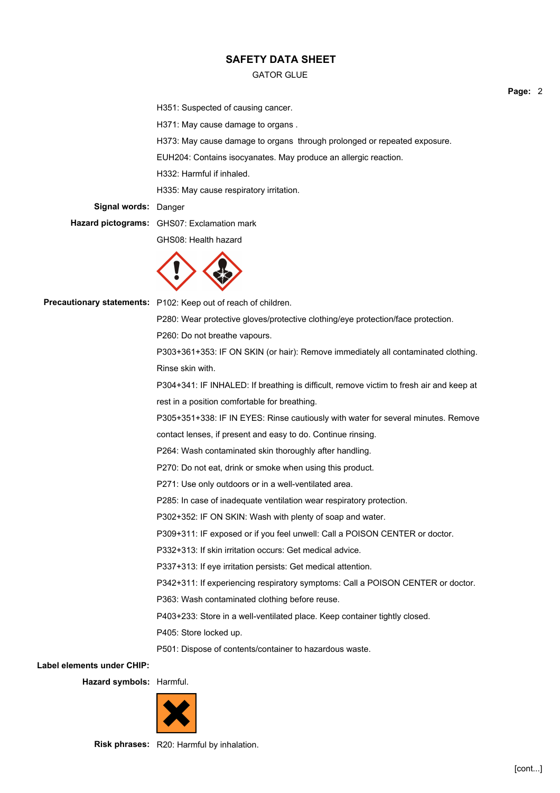### GATOR GLUE

H351: Suspected of causing cancer.

H371: May cause damage to organs .

H373: May cause damage to organs through prolonged or repeated exposure.

EUH204: Contains isocyanates. May produce an allergic reaction.

H332: Harmful if inhaled.

H335: May cause respiratory irritation.

**Signal words:** Danger

**Hazard pictograms:** GHS07: Exclamation mark

GHS08: Health hazard



Precautionary statements: P102: Keep out of reach of children.

P280: Wear protective gloves/protective clothing/eye protection/face protection.

P260: Do not breathe vapours.

P303+361+353: IF ON SKIN (or hair): Remove immediately all contaminated clothing. Rinse skin with.

P304+341: IF INHALED: If breathing is difficult, remove victim to fresh air and keep at rest in a position comfortable for breathing.

P305+351+338: IF IN EYES: Rinse cautiously with water for several minutes. Remove

contact lenses, if present and easy to do. Continue rinsing.

P264: Wash contaminated skin thoroughly after handling.

P270: Do not eat, drink or smoke when using this product.

P271: Use only outdoors or in a well-ventilated area.

P285: In case of inadequate ventilation wear respiratory protection.

P302+352: IF ON SKIN: Wash with plenty of soap and water.

P309+311: IF exposed or if you feel unwell: Call a POISON CENTER or doctor.

P332+313: If skin irritation occurs: Get medical advice.

P337+313: If eye irritation persists: Get medical attention.

P342+311: If experiencing respiratory symptoms: Call a POISON CENTER or doctor.

P363: Wash contaminated clothing before reuse.

P403+233: Store in a well-ventilated place. Keep container tightly closed.

P405: Store locked up.

P501: Dispose of contents/container to hazardous waste.

**Label elements under CHIP:**

**Hazard symbols:** Harmful.



**Risk phrases:** R20: Harmful by inhalation.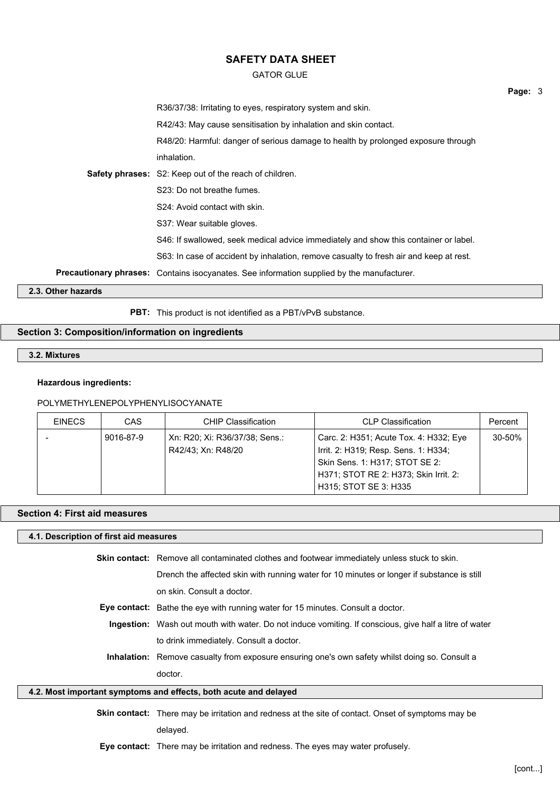### GATOR GLUE

|                    |                                                                                                   | Page: 3 |
|--------------------|---------------------------------------------------------------------------------------------------|---------|
|                    | R36/37/38: Irritating to eyes, respiratory system and skin.                                       |         |
|                    | R42/43: May cause sensitisation by inhalation and skin contact.                                   |         |
|                    | R48/20: Harmful: danger of serious damage to health by prolonged exposure through                 |         |
|                    | inhalation.                                                                                       |         |
|                    | <b>Safety phrases:</b> S2: Keep out of the reach of children.                                     |         |
|                    | S23: Do not breathe fumes.                                                                        |         |
|                    | S24: Avoid contact with skin.                                                                     |         |
|                    | S37: Wear suitable gloves.                                                                        |         |
|                    | S46: If swallowed, seek medical advice immediately and show this container or label.              |         |
|                    | S63: In case of accident by inhalation, remove casualty to fresh air and keep at rest.            |         |
|                    | <b>Precautionary phrases:</b> Contains isocyanates. See information supplied by the manufacturer. |         |
| 2.3. Other hazards |                                                                                                   |         |

**PBT:** This product is not identified as a PBT/vPvB substance.

### **Section 3: Composition/information on ingredients**

# **3.2. Mixtures**

#### **Hazardous ingredients:**

### POLYMETHYLENEPOLYPHENYLISOCYANATE

| <b>EINECS</b> | CAS       | <b>CHIP Classification</b>     | <b>CLP Classification</b>              | Percent |
|---------------|-----------|--------------------------------|----------------------------------------|---------|
|               | 9016-87-9 | Xn: R20; Xi: R36/37/38; Sens.: | Carc. 2: H351; Acute Tox. 4: H332; Eye | 30-50%  |
|               |           | R42/43; Xn: R48/20             | Irrit. 2: H319; Resp. Sens. 1: H334;   |         |
|               |           |                                | Skin Sens. 1: H317; STOT SE 2:         |         |
|               |           |                                | H371; STOT RE 2: H373; Skin Irrit. 2:  |         |
|               |           |                                | H315; STOT SE 3: H335                  |         |

### **Section 4: First aid measures**

#### **4.1. Description of first aid measures**

**Skin contact:** Remove all contaminated clothes and footwear immediately unless stuck to skin.

Drench the affected skin with running water for 10 minutes or longer if substance is still on skin. Consult a doctor.

- **Eye contact:** Bathe the eye with running water for 15 minutes. Consult a doctor.
- **Ingestion:** Wash out mouth with water. Do not induce vomiting. If conscious, give half a litre of water to drink immediately. Consult a doctor.
- **Inhalation:** Remove casualty from exposure ensuring one's own safety whilst doing so. Consult a doctor.

### **4.2. Most important symptoms and effects, both acute and delayed**

**Skin contact:** There may be irritation and redness at the site of contact. Onset of symptoms may be delayed.

**Eye contact:** There may be irritation and redness. The eyes may water profusely.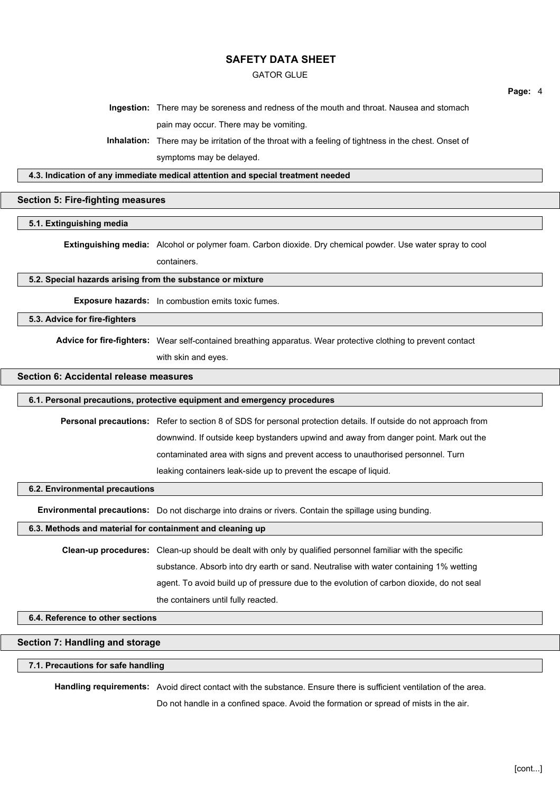### GATOR GLUE

**Ingestion:** There may be soreness and redness of the mouth and throat. Nausea and stomach pain may occur. There may be vomiting.

**Inhalation:** There may be irritation of the throat with a feeling of tightness in the chest. Onset of symptoms may be delayed.

**4.3. Indication of any immediate medical attention and special treatment needed**

### **Section 5: Fire-fighting measures**

**5.1. Extinguishing media**

**Extinguishing media:** Alcohol or polymer foam. Carbon dioxide. Dry chemical powder. Use water spray to cool containers.

#### **5.2. Special hazards arising from the substance or mixture**

**Exposure hazards:** In combustion emits toxic fumes.

**5.3. Advice for fire-fighters**

**Advice for fire-fighters:** Wear self-contained breathing apparatus. Wear protective clothing to prevent contact with skin and eyes.

**Section 6: Accidental release measures**

# 6.1. Personal precautions, protective equipment and emergency procedures

**Personal precautions:** Refer to section 8 of SDS for personal protection details. If outside do not approach from downwind. If outside keep bystanders upwind and away from danger point. Mark out the contaminated area with signs and prevent access to unauthorised personnel. Turn leaking containers leak-side up to prevent the escape of liquid.

### **6.2. Environmental precautions**

**Environmental precautions:** Do not discharge into drains or rivers. Contain the spillage using bunding.

#### **6.3. Methods and material for containment and cleaning up**

**Clean-up procedures:** Clean-up should be dealt with only by qualified personnel familiar with the specific substance. Absorb into dry earth or sand. Neutralise with water containing 1% wetting agent. To avoid build up of pressure due to the evolution of carbon dioxide, do not seal the containers until fully reacted.

## **6.4. Reference to other sections**

### **Section 7: Handling and storage**

### **7.1. Precautions for safe handling**

**Handling requirements:** Avoid direct contact with the substance. Ensure there is sufficient ventilation of the area.

Do not handle in a confined space. Avoid the formation or spread of mists in the air.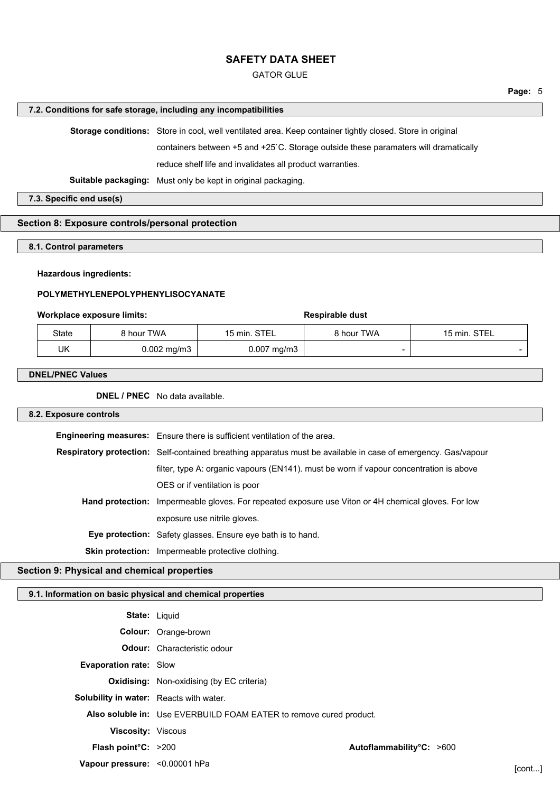### GATOR GLUE

#### **7.2. Conditions for safe storage, including any incompatibilities**

**Storage conditions:** Store in cool, well ventilated area. Keep container tightly closed. Store in original containers between +5 and +25`C. Storage outside these paramaters will dramatically reduce shelf life and invalidates all product warranties. **Suitable packaging:** Must only be kept in original packaging.

**7.3. Specific end use(s)**

## **Section 8: Exposure controls/personal protection**

**8.1. Control parameters**

### **Hazardous ingredients:**

## **POLYMETHYLENEPOLYPHENYLISOCYANATE**

### **Workplace exposure limits: Respirable dust Respirable dust**

| State | 8 hour TWA    | 15 min. STEL           | 8 hour TWA | 15 min. STEL |
|-------|---------------|------------------------|------------|--------------|
| UK    | $0.002$ mg/m3 | $0.007 \text{ mg/m}$ 3 | -          |              |

#### **DNEL/PNEC Values**

**DNEL / PNEC** No data available.

#### **8.2. Exposure controls**

| Engineering measures: Ensure there is sufficient ventilation of the area.                                     |  |
|---------------------------------------------------------------------------------------------------------------|--|
| Respiratory protection: Self-contained breathing apparatus must be available in case of emergency. Gas/vapour |  |
| filter, type A: organic vapours (EN141). must be worn if vapour concentration is above                        |  |
| OES or if ventilation is poor                                                                                 |  |
| <b>Hand protection:</b> Impermeable gloves. For repeated exposure use Viton or 4H chemical gloves. For low    |  |
| exposure use nitrile gloves.                                                                                  |  |
| <b>Eye protection:</b> Safety glasses. Ensure eye bath is to hand.                                            |  |
| <b>Skin protection:</b> Impermeable protective clothing.                                                      |  |
|                                                                                                               |  |

### **Section 9: Physical and chemical properties**

## **9.1. Information on basic physical and chemical properties**

| <b>State: Liquid</b>                                               |                          |
|--------------------------------------------------------------------|--------------------------|
| Colour: Orange-brown                                               |                          |
| <b>Odour:</b> Characteristic odour                                 |                          |
| <b>Evaporation rate: Slow</b>                                      |                          |
| <b>Oxidising:</b> Non-oxidising (by EC criteria)                   |                          |
| Solubility in water: Reacts with water.                            |                          |
| Also soluble in: Use EVERBUILD FOAM EATER to remove cured product. |                          |
| <b>Viscosity: Viscous</b>                                          |                          |
| <b>Flash point °C:</b> $>200$                                      | Autoflammability°C: >600 |
| Vapour pressure: < 0.00001 hPa                                     | [cont]                   |
|                                                                    |                          |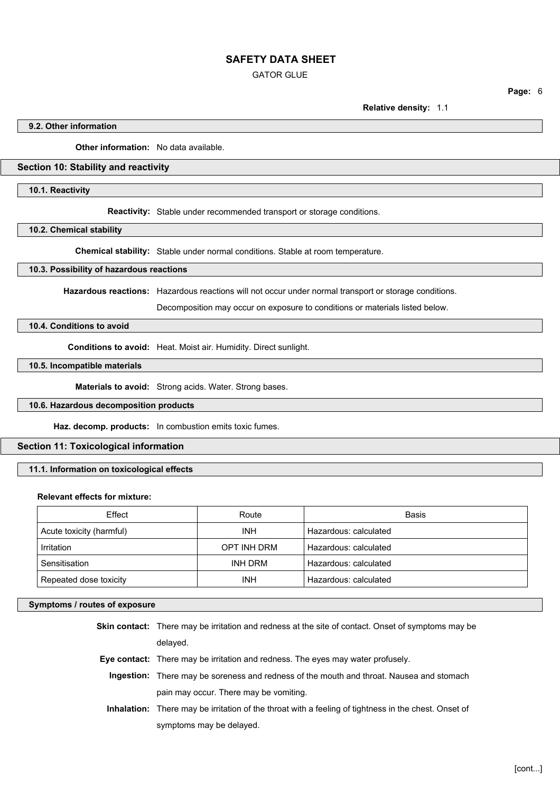### GATOR GLUE

**Page:** 6

**Relative density:** 1.1

#### **9.2. Other information**

**Other information:** No data available.

### **Section 10: Stability and reactivity**

### **10.1. Reactivity**

**Reactivity:** Stable under recommended transport or storage conditions.

#### **10.2. Chemical stability**

**Chemical stability:** Stable under normal conditions. Stable at room temperature.

#### **10.3. Possibility of hazardous reactions**

**Hazardous reactions:** Hazardous reactions will not occur under normal transport or storage conditions.

Decomposition may occur on exposure to conditions or materials listed below.

## **10.4. Conditions to avoid**

**Conditions to avoid:** Heat. Moist air. Humidity. Direct sunlight.

# **10.5. Incompatible materials**

**Materials to avoid:** Strong acids. Water. Strong bases.

### **10.6. Hazardous decomposition products**

**Haz. decomp. products:** In combustion emits toxic fumes.

### **Section 11: Toxicological information**

**11.1. Information on toxicological effects**

#### **Relevant effects for mixture:**

| Effect                   | Route       | <b>Basis</b>          |
|--------------------------|-------------|-----------------------|
| Acute toxicity (harmful) | <b>INH</b>  | Hazardous: calculated |
| Irritation               | OPT INH DRM | Hazardous: calculated |
| Sensitisation            | INH DRM     | Hazardous: calculated |
| Repeated dose toxicity   | <b>INH</b>  | Hazardous: calculated |

矠Θ

#### **Symptoms / routes of exposure**

**Skin contact:** There may be irritation and redness at the site of contact. Onset of symptoms may be delayed. **Eye contact:** There may be irritation and redness. The eyes may water profusely. **Ingestion:** There may be soreness and redness of the mouth and throat. Nausea and stomach pain may occur. There may be vomiting.

**Inhalation:** There may be irritation of the throat with a feeling of tightness in the chest. Onset of symptoms may be delayed.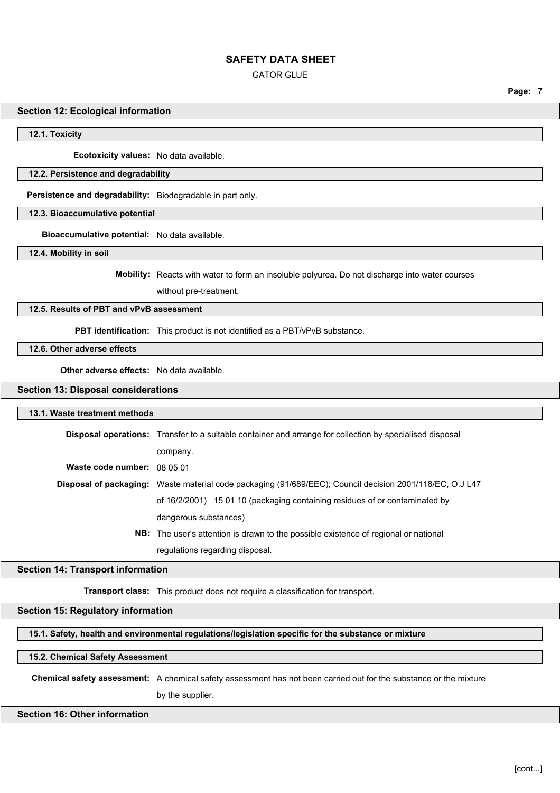GATOR GLUE

**Section 12: Ecological information**

**12.1. Toxicity**

**Ecotoxicity values:** No data available.

### **12.2. Persistence and degradability**

**Persistence and degradability:** Biodegradable in part only.

**12.3. Bioaccumulative potential**

**Bioaccumulative potential:** No data available.

**12.4. Mobility in soil**

**Mobility:** Reacts with water to form an insoluble polyurea. Do not discharge into water courses

without pre-treatment.

#### **12.5. Results of PBT and vPvB assessment**

**PBT identification:** This product is not identified as a PBT/vPvB substance.

## **12.6. Other adverse effects**

**Other adverse effects:** No data available.

### **Section 13: Disposal considerations**

#### **13.1. Waste treatment methods**

|                             | <b>Disposal operations:</b> Transfer to a suitable container and arrange for collection by specialised disposal |  |
|-----------------------------|-----------------------------------------------------------------------------------------------------------------|--|
|                             | company.                                                                                                        |  |
| Waste code number: 08 05 01 |                                                                                                                 |  |
|                             | Disposal of packaging: Waste material code packaging (91/689/EEC); Council decision 2001/118/EC, O.J L47        |  |
|                             | of 16/2/2001) 15 01 10 (packaging containing residues of or contaminated by                                     |  |
|                             | dangerous substances)                                                                                           |  |
|                             |                                                                                                                 |  |

רhroaO

**NB:** The user's attention is drawn to the possible existence of regional or national regulations regarding disposal.

### **Section 14: Transport information**

**Transport class:** This product does not require a classification for transport.

#### **Section 15: Regulatory information**

#### **15.1. Safety, health and environmental regulations/legislation specific for the substance or mixture**

#### **15.2. Chemical Safety Assessment**

**Chemical safety assessment:** A chemical safety assessment has not been carried out for the substance or the mixture

by the supplier.

### **Section 16: Other information**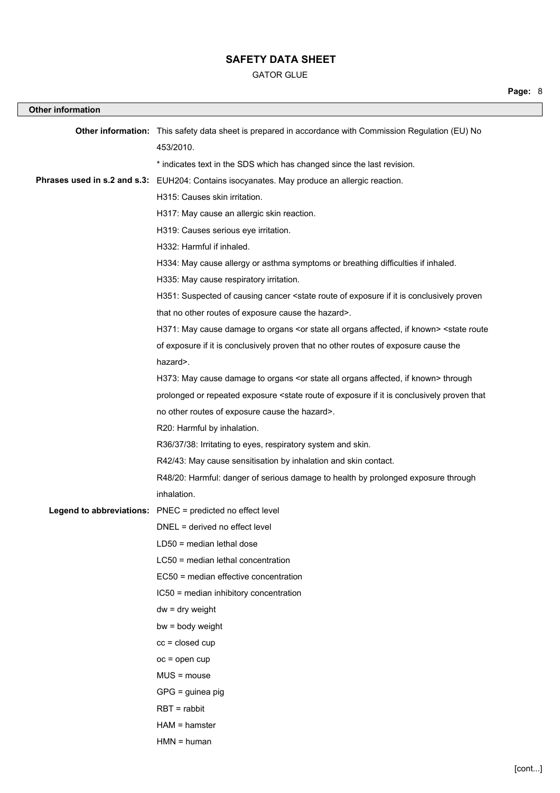### GATOR GLUE

| <b>Other information</b> |                                                                                                                                      |
|--------------------------|--------------------------------------------------------------------------------------------------------------------------------------|
|                          | Other information: This safety data sheet is prepared in accordance with Commission Regulation (EU) No<br>453/2010.                  |
|                          | * indicates text in the SDS which has changed since the last revision.                                                               |
|                          | Phrases used in s.2 and s.3: EUH204: Contains isocyanates. May produce an allergic reaction.                                         |
|                          | H315: Causes skin irritation.                                                                                                        |
|                          | H317: May cause an allergic skin reaction.                                                                                           |
|                          | H319: Causes serious eye irritation.                                                                                                 |
|                          | H332: Harmful if inhaled.                                                                                                            |
|                          | H334: May cause allergy or asthma symptoms or breathing difficulties if inhaled.                                                     |
|                          | H335: May cause respiratory irritation.                                                                                              |
|                          | H351: Suspected of causing cancer <state conclusively="" exposure="" if="" is="" it="" of="" proven<="" route="" th=""></state>      |
|                          | that no other routes of exposure cause the hazard>.                                                                                  |
|                          | H371: May cause damage to organs <or affected,="" all="" if="" known="" organs="" state=""> <state route<="" th=""></state></or>     |
|                          | of exposure if it is conclusively proven that no other routes of exposure cause the                                                  |
|                          | hazard>.                                                                                                                             |
|                          | H373: May cause damage to organs <or affected,="" all="" if="" known="" organs="" state=""> through</or>                             |
|                          | prolonged or repeated exposure <state conclusively="" exposure="" if="" is="" it="" of="" proven="" route="" th="" that<=""></state> |
|                          | no other routes of exposure cause the hazard>.                                                                                       |
|                          | R20: Harmful by inhalation.                                                                                                          |
|                          | R36/37/38: Irritating to eyes, respiratory system and skin.                                                                          |
|                          | R42/43: May cause sensitisation by inhalation and skin contact.                                                                      |
|                          | R48/20: Harmful: danger of serious damage to health by prolonged exposure through                                                    |
|                          | inhalation.                                                                                                                          |
|                          | Legend to abbreviations: PNEC = predicted no effect level                                                                            |
|                          | DNEL = derived no effect level                                                                                                       |
|                          | $LD50$ = median lethal dose                                                                                                          |
|                          | LC50 = median lethal concentration                                                                                                   |
|                          | EC50 = median effective concentration                                                                                                |
|                          | IC50 = median inhibitory concentration                                                                                               |
|                          | $dw = dry$ weight                                                                                                                    |
|                          | $bw = body weight$                                                                                                                   |
|                          | $cc = closed cup$                                                                                                                    |
|                          | $oc = open cup$                                                                                                                      |
|                          | $MUS = mouse$                                                                                                                        |
|                          | $GPG =$ guinea pig                                                                                                                   |
|                          | $RBT = rabbit$                                                                                                                       |
|                          | $HAM = hamster$                                                                                                                      |
|                          | $HMN = human$                                                                                                                        |